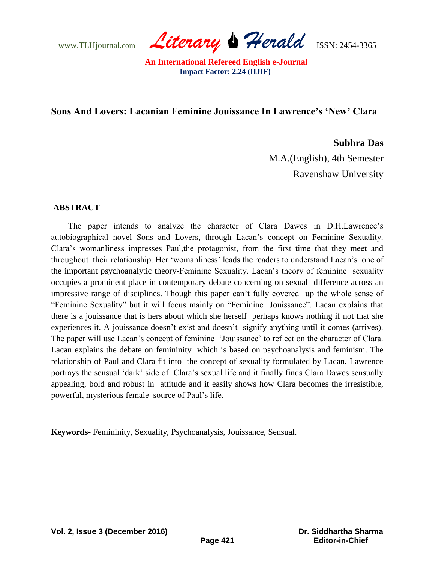www.TLHjournal.com *Literary Herald*ISSN: 2454-3365

## **Sons And Lovers: Lacanian Feminine Jouissance In Lawrence's 'New' Clara**

### **Subhra Das**

M.A.(English), 4th Semester Ravenshaw University

### **ABSTRACT**

The paper intends to analyze the character of Clara Dawes in D.H.Lawrence's autobiographical novel Sons and Lovers, through Lacan"s concept on Feminine Sexuality. Clara"s womanliness impresses Paul,the protagonist, from the first time that they meet and throughout their relationship. Her "womanliness" leads the readers to understand Lacan"s one of the important psychoanalytic theory-Feminine Sexuality. Lacan"s theory of feminine sexuality occupies a prominent place in contemporary debate concerning on sexual difference across an impressive range of disciplines. Though this paper can"t fully covered up the whole sense of "Feminine Sexuality" but it will focus mainly on "Feminine Jouissance". Lacan explains that there is a jouissance that is hers about which she herself perhaps knows nothing if not that she experiences it. A jouissance doesn't exist and doesn't signify anything until it comes (arrives). The paper will use Lacan"s concept of feminine "Jouissance" to reflect on the character of Clara. Lacan explains the debate on femininity which is based on psychoanalysis and feminism. The relationship of Paul and Clara fit into the concept of sexuality formulated by Lacan. Lawrence portrays the sensual "dark" side of Clara"s sexual life and it finally finds Clara Dawes sensually appealing, bold and robust in attitude and it easily shows how Clara becomes the irresistible, powerful, mysterious female source of Paul"s life.

**Keywords-** Femininity, Sexuality, Psychoanalysis, Jouissance, Sensual.

**Vol. 2, Issue 3 (December 2016)**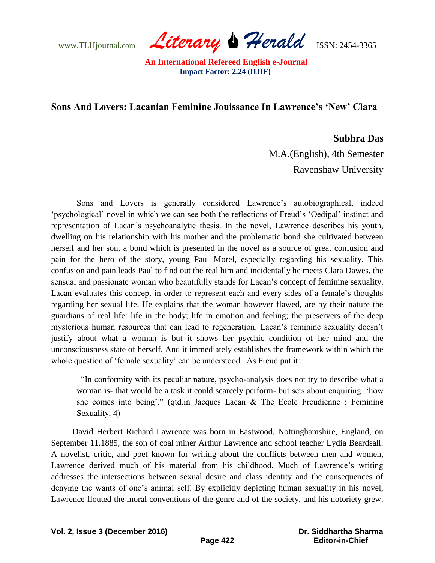www.TLHjournal.com *Literary Herald*ISSN: 2454-3365

# **Sons And Lovers: Lacanian Feminine Jouissance In Lawrence's 'New' Clara**

### **Subhra Das**

M.A.(English), 4th Semester Ravenshaw University

Sons and Lovers is generally considered Lawrence's autobiographical, indeed "psychological" novel in which we can see both the reflections of Freud's "Oedipal" instinct and representation of Lacan"s psychoanalytic thesis. In the novel, Lawrence describes his youth, dwelling on his relationship with his mother and the problematic bond she cultivated between herself and her son, a bond which is presented in the novel as a source of great confusion and pain for the hero of the story, young Paul Morel, especially regarding his sexuality. This confusion and pain leads Paul to find out the real him and incidentally he meets Clara Dawes, the sensual and passionate woman who beautifully stands for Lacan's concept of feminine sexuality. Lacan evaluates this concept in order to represent each and every sides of a female"s thoughts regarding her sexual life. He explains that the woman however flawed, are by their nature the guardians of real life: life in the body; life in emotion and feeling; the preservers of the deep mysterious human resources that can lead to regeneration. Lacan"s feminine sexuality doesn"t justify about what a woman is but it shows her psychic condition of her mind and the unconsciousness state of herself. And it immediately establishes the framework within which the whole question of 'female sexuality' can be understood. As Freud put it:

"In conformity with its peculiar nature, psycho-analysis does not try to describe what a woman is- that would be a task it could scarcely perform- but sets about enquiring "how she comes into being'." (qtd.in Jacques Lacan  $\&$  The Ecole Freudienne : Feminine Sexuality, 4)

 David Herbert Richard Lawrence was born in Eastwood, Nottinghamshire, England, on September 11.1885, the son of coal miner Arthur Lawrence and school teacher Lydia Beardsall. A novelist, critic, and poet known for writing about the conflicts between men and women, Lawrence derived much of his material from his childhood. Much of Lawrence"s writing addresses the intersections between sexual desire and class identity and the consequences of denying the wants of one"s animal self. By explicitly depicting human sexuality in his novel, Lawrence flouted the moral conventions of the genre and of the society, and his notoriety grew.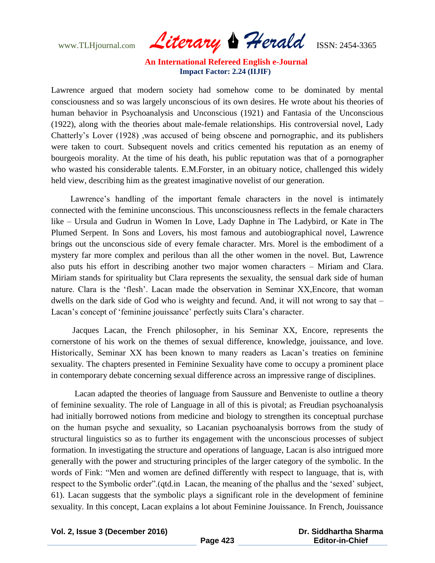www.TLHjournal.com *Literary Herald*ISSN: 2454-3365

Lawrence argued that modern society had somehow come to be dominated by mental consciousness and so was largely unconscious of its own desires. He wrote about his theories of human behavior in Psychoanalysis and Unconscious (1921) and Fantasia of the Unconscious (1922), along with the theories about male-female relationships. His controversial novel, Lady Chatterly"s Lover (1928) ,was accused of being obscene and pornographic, and its publishers were taken to court. Subsequent novels and critics cemented his reputation as an enemy of bourgeois morality. At the time of his death, his public reputation was that of a pornographer who wasted his considerable talents. E.M.Forster, in an obituary notice, challenged this widely held view, describing him as the greatest imaginative novelist of our generation.

Lawrence's handling of the important female characters in the novel is intimately connected with the feminine unconscious. This unconsciousness reflects in the female characters like – Ursula and Gudrun in Women In Love, Lady Daphne in The Ladybird, or Kate in The Plumed Serpent. In Sons and Lovers, his most famous and autobiographical novel, Lawrence brings out the unconscious side of every female character. Mrs. Morel is the embodiment of a mystery far more complex and perilous than all the other women in the novel. But, Lawrence also puts his effort in describing another two major women characters – Miriam and Clara. Miriam stands for spirituality but Clara represents the sexuality, the sensual dark side of human nature. Clara is the "flesh". Lacan made the observation in Seminar XX,Encore, that woman dwells on the dark side of God who is weighty and fecund. And, it will not wrong to say that – Lacan's concept of 'feminine jouissance' perfectly suits Clara's character.

 Jacques Lacan, the French philosopher, in his Seminar XX, Encore, represents the cornerstone of his work on the themes of sexual difference, knowledge, jouissance, and love. Historically, Seminar XX has been known to many readers as Lacan"s treaties on feminine sexuality. The chapters presented in Feminine Sexuality have come to occupy a prominent place in contemporary debate concerning sexual difference across an impressive range of disciplines.

 Lacan adapted the theories of language from Saussure and Benveniste to outline a theory of feminine sexuality. The role of Language in all of this is pivotal; as Freudian psychoanalysis had initially borrowed notions from medicine and biology to strengthen its conceptual purchase on the human psyche and sexuality, so Lacanian psychoanalysis borrows from the study of structural linguistics so as to further its engagement with the unconscious processes of subject formation. In investigating the structure and operations of language, Lacan is also intrigued more generally with the power and structuring principles of the larger category of the symbolic. In the words of Fink: "Men and women are defined differently with respect to language, that is, with respect to the Symbolic order".(qtd.in Lacan, the meaning of the phallus and the "sexed" subject, 61). Lacan suggests that the symbolic plays a significant role in the development of feminine sexuality. In this concept, Lacan explains a lot about Feminine Jouissance. In French, Jouissance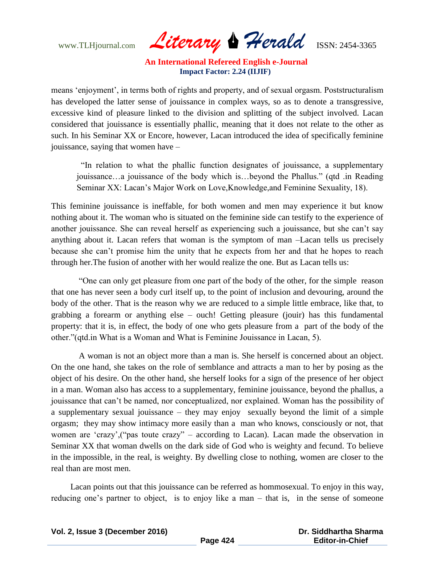www.TLHjournal.com *Literary Herald*ISSN: 2454-3365

means "enjoyment", in terms both of rights and property, and of sexual orgasm. Poststructuralism has developed the latter sense of jouissance in complex ways, so as to denote a transgressive, excessive kind of pleasure linked to the division and splitting of the subject involved. Lacan considered that jouissance is essentially phallic, meaning that it does not relate to the other as such. In his Seminar XX or Encore, however, Lacan introduced the idea of specifically feminine jouissance, saying that women have –

"In relation to what the phallic function designates of jouissance, a supplementary jouissance…a jouissance of the body which is…beyond the Phallus." (qtd .in Reading Seminar XX: Lacan's Major Work on Love, Knowledge, and Feminine Sexuality, 18).

This feminine jouissance is ineffable, for both women and men may experience it but know nothing about it. The woman who is situated on the feminine side can testify to the experience of another jouissance. She can reveal herself as experiencing such a jouissance, but she can"t say anything about it. Lacan refers that woman is the symptom of man –Lacan tells us precisely because she can"t promise him the unity that he expects from her and that he hopes to reach through her.The fusion of another with her would realize the one. But as Lacan tells us:

 "One can only get pleasure from one part of the body of the other, for the simple reason that one has never seen a body curl itself up, to the point of inclusion and devouring, around the body of the other. That is the reason why we are reduced to a simple little embrace, like that, to grabbing a forearm or anything else – ouch! Getting pleasure (jouir) has this fundamental property: that it is, in effect, the body of one who gets pleasure from a part of the body of the other."(qtd.in What is a Woman and What is Feminine Jouissance in Lacan, 5).

 A woman is not an object more than a man is. She herself is concerned about an object. On the one hand, she takes on the role of semblance and attracts a man to her by posing as the object of his desire. On the other hand, she herself looks for a sign of the presence of her object in a man. Woman also has access to a supplementary, feminine jouissance, beyond the phallus, a jouissance that can"t be named, nor conceptualized, nor explained. Woman has the possibility of a supplementary sexual jouissance – they may enjoy sexually beyond the limit of a simple orgasm; they may show intimacy more easily than a man who knows, consciously or not, that women are "crazy",("pas toute crazy" – according to Lacan). Lacan made the observation in Seminar XX that woman dwells on the dark side of God who is weighty and fecund. To believe in the impossible, in the real, is weighty. By dwelling close to nothing, women are closer to the real than are most men.

 Lacan points out that this jouissance can be referred as hommosexual. To enjoy in this way, reducing one's partner to object, is to enjoy like a man – that is, in the sense of someone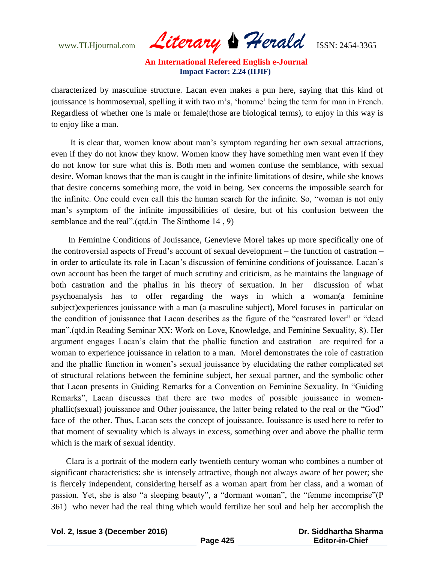www.TLHjournal.com *Literary Herald*ISSN: 2454-3365

characterized by masculine structure. Lacan even makes a pun here, saying that this kind of jouissance is hommosexual, spelling it with two m's, 'homme' being the term for man in French. Regardless of whether one is male or female(those are biological terms), to enjoy in this way is to enjoy like a man.

 It is clear that, women know about man"s symptom regarding her own sexual attractions, even if they do not know they know. Women know they have something men want even if they do not know for sure what this is. Both men and women confuse the semblance, with sexual desire. Woman knows that the man is caught in the infinite limitations of desire, while she knows that desire concerns something more, the void in being. Sex concerns the impossible search for the infinite. One could even call this the human search for the infinite. So, "woman is not only man"s symptom of the infinite impossibilities of desire, but of his confusion between the semblance and the real".(qtd.in The Sinthome 14 , 9)

 In Feminine Conditions of Jouissance, Genevieve Morel takes up more specifically one of the controversial aspects of Freud"s account of sexual development – the function of castration – in order to articulate its role in Lacan"s discussion of feminine conditions of jouissance. Lacan"s own account has been the target of much scrutiny and criticism, as he maintains the language of both castration and the phallus in his theory of sexuation. In her discussion of what psychoanalysis has to offer regarding the ways in which a woman(a feminine subject)experiences jouissance with a man (a masculine subject), Morel focuses in particular on the condition of jouissance that Lacan describes as the figure of the "castrated lover" or "dead man".(qtd.in Reading Seminar XX: Work on Love, Knowledge, and Feminine Sexuality, 8). Her argument engages Lacan"s claim that the phallic function and castration are required for a woman to experience jouissance in relation to a man. Morel demonstrates the role of castration and the phallic function in women"s sexual jouissance by elucidating the rather complicated set of structural relations between the feminine subject, her sexual partner, and the symbolic other that Lacan presents in Guiding Remarks for a Convention on Feminine Sexuality. In "Guiding Remarks", Lacan discusses that there are two modes of possible jouissance in womenphallic(sexual) jouissance and Other jouissance, the latter being related to the real or the "God" face of the other. Thus, Lacan sets the concept of jouissance. Jouissance is used here to refer to that moment of sexuality which is always in excess, something over and above the phallic term which is the mark of sexual identity.

 Clara is a portrait of the modern early twentieth century woman who combines a number of significant characteristics: she is intensely attractive, though not always aware of her power; she is fiercely independent, considering herself as a woman apart from her class, and a woman of passion. Yet, she is also "a sleeping beauty", a "dormant woman", the "femme incomprise"(P 361) who never had the real thing which would fertilize her soul and help her accomplish the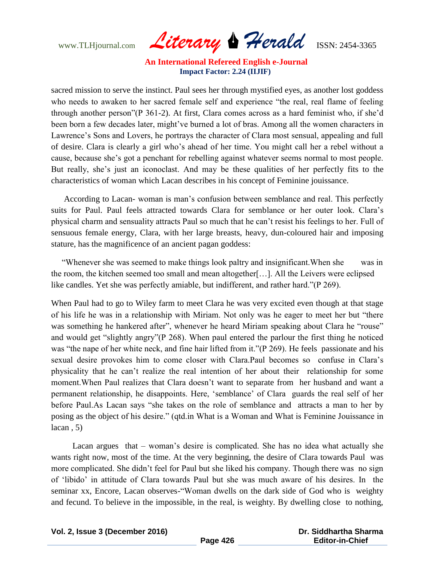www.TLHjournal.com *Literary Herald*ISSN: 2454-3365

sacred mission to serve the instinct. Paul sees her through mystified eyes, as another lost goddess who needs to awaken to her sacred female self and experience "the real, real flame of feeling through another person"(P 361-2). At first, Clara comes across as a hard feminist who, if she"d been born a few decades later, might've burned a lot of bras. Among all the women characters in Lawrence's Sons and Lovers, he portrays the character of Clara most sensual, appealing and full of desire. Clara is clearly a girl who"s ahead of her time. You might call her a rebel without a cause, because she"s got a penchant for rebelling against whatever seems normal to most people. But really, she"s just an iconoclast. And may be these qualities of her perfectly fits to the characteristics of woman which Lacan describes in his concept of Feminine jouissance.

 According to Lacan- woman is man"s confusion between semblance and real. This perfectly suits for Paul. Paul feels attracted towards Clara for semblance or her outer look. Clara"s physical charm and sensuality attracts Paul so much that he can"t resist his feelings to her. Full of sensuous female energy, Clara, with her large breasts, heavy, dun-coloured hair and imposing stature, has the magnificence of an ancient pagan goddess:

 "Whenever she was seemed to make things look paltry and insignificant.When she was in the room, the kitchen seemed too small and mean altogether[…]. All the Leivers were eclipsed like candles. Yet she was perfectly amiable, but indifferent, and rather hard."(P 269).

When Paul had to go to Wiley farm to meet Clara he was very excited even though at that stage of his life he was in a relationship with Miriam. Not only was he eager to meet her but "there was something he hankered after", whenever he heard Miriam speaking about Clara he "rouse" and would get "slightly angry"(P 268). When paul entered the parlour the first thing he noticed was "the nape of her white neck, and fine hair lifted from it."(P 269). He feels passionate and his sexual desire provokes him to come closer with Clara.Paul becomes so confuse in Clara"s physicality that he can"t realize the real intention of her about their relationship for some moment.When Paul realizes that Clara doesn"t want to separate from her husband and want a permanent relationship, he disappoints. Here, "semblance" of Clara guards the real self of her before Paul.As Lacan says "she takes on the role of semblance and attracts a man to her by posing as the object of his desire." (qtd.in What is a Woman and What is Feminine Jouissance in  $lacan . 5)$ 

 Lacan argues that – woman"s desire is complicated. She has no idea what actually she wants right now, most of the time. At the very beginning, the desire of Clara towards Paul was more complicated. She didn"t feel for Paul but she liked his company. Though there was no sign of "libido" in attitude of Clara towards Paul but she was much aware of his desires. In the seminar xx, Encore, Lacan observes-"Woman dwells on the dark side of God who is weighty and fecund. To believe in the impossible, in the real, is weighty. By dwelling close to nothing,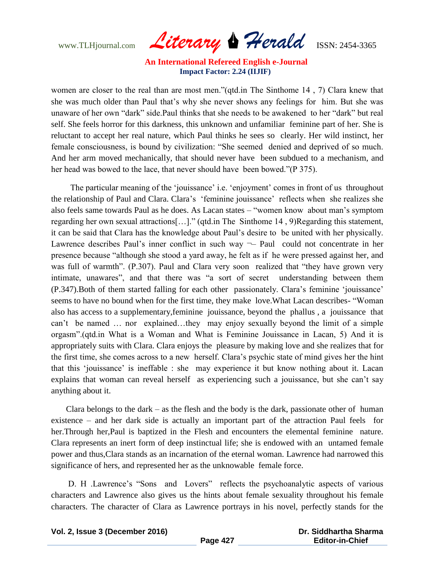www.TLHjournal.com *Literary Herald*ISSN: 2454-3365

women are closer to the real than are most men."(qtd.in The Sinthome 14 , 7) Clara knew that she was much older than Paul that"s why she never shows any feelings for him. But she was unaware of her own "dark" side.Paul thinks that she needs to be awakened to her "dark" but real self. She feels horror for this darkness, this unknown and unfamiliar feminine part of her. She is reluctant to accept her real nature, which Paul thinks he sees so clearly. Her wild instinct, her female consciousness, is bound by civilization: "She seemed denied and deprived of so much. And her arm moved mechanically, that should never have been subdued to a mechanism, and her head was bowed to the lace, that never should have been bowed."(P 375).

The particular meaning of the 'jouissance' i.e. 'enjoyment' comes in front of us throughout the relationship of Paul and Clara. Clara"s "feminine jouissance" reflects when she realizes she also feels same towards Paul as he does. As Lacan states – "women know about man"s symptom regarding her own sexual attractions[…]." (qtd.in The Sinthome 14 , 9)Regarding this statement, it can be said that Clara has the knowledge about Paul"s desire to be united with her physically. Lawrence describes Paul's inner conflict in such way  $\neg$  Paul could not concentrate in her presence because "although she stood a yard away, he felt as if he were pressed against her, and was full of warmth". (P.307). Paul and Clara very soon realized that "they have grown very intimate, unawares", and that there was "a sort of secret understanding between them (P.347).Both of them started falling for each other passionately. Clara"s feminine "jouissance" seems to have no bound when for the first time, they make love.What Lacan describes- "Woman also has access to a supplementary,feminine jouissance, beyond the phallus , a jouissance that can"t be named … nor explained…they may enjoy sexually beyond the limit of a simple orgasm".(qtd.in What is a Woman and What is Feminine Jouissance in Lacan, 5) And it is appropriately suits with Clara. Clara enjoys the pleasure by making love and she realizes that for the first time, she comes across to a new herself. Clara"s psychic state of mind gives her the hint that this "jouissance" is ineffable : she may experience it but know nothing about it. Lacan explains that woman can reveal herself as experiencing such a jouissance, but she can"t say anything about it.

 Clara belongs to the dark – as the flesh and the body is the dark, passionate other of human existence – and her dark side is actually an important part of the attraction Paul feels for her.Through her,Paul is baptized in the Flesh and encounters the elemental feminine nature. Clara represents an inert form of deep instinctual life; she is endowed with an untamed female power and thus,Clara stands as an incarnation of the eternal woman. Lawrence had narrowed this significance of hers, and represented her as the unknowable female force.

D. H. Lawrence's "Sons and Lovers" reflects the psychoanalytic aspects of various characters and Lawrence also gives us the hints about female sexuality throughout his female characters. The character of Clara as Lawrence portrays in his novel, perfectly stands for the

**Vol. 2, Issue 3 (December 2016)**

 **Dr. Siddhartha Sharma Editor-in-Chief**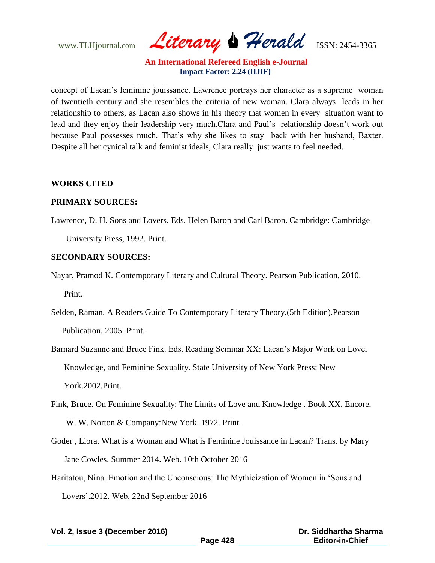www.TLHjournal.com *Literary Herald*ISSN: 2454-3365

concept of Lacan"s feminine jouissance. Lawrence portrays her character as a supreme woman of twentieth century and she resembles the criteria of new woman. Clara always leads in her relationship to others, as Lacan also shows in his theory that women in every situation want to lead and they enjoy their leadership very much.Clara and Paul's relationship doesn't work out because Paul possesses much. That"s why she likes to stay back with her husband, Baxter. Despite all her cynical talk and feminist ideals, Clara really just wants to feel needed.

#### **WORKS CITED**

#### **PRIMARY SOURCES:**

Lawrence, D. H. Sons and Lovers. Eds. Helen Baron and Carl Baron. Cambridge: Cambridge University Press, 1992. Print.

#### **SECONDARY SOURCES:**

Nayar, Pramod K. Contemporary Literary and Cultural Theory. Pearson Publication, 2010. Print.

Selden, Raman. A Readers Guide To Contemporary Literary Theory,(5th Edition).Pearson Publication, 2005. Print.

Barnard Suzanne and Bruce Fink. Eds. Reading Seminar XX: Lacan"s Major Work on Love, Knowledge, and Feminine Sexuality. State University of New York Press: New York.2002.Print.

Fink, Bruce. On Feminine Sexuality: The Limits of Love and Knowledge . Book XX, Encore, W. W. Norton & Company:New York. 1972. Print.

- Goder , Liora. What is a Woman and What is Feminine Jouissance in Lacan? Trans. by Mary Jane Cowles. Summer 2014. Web. 10th October 2016
- Haritatou, Nina. Emotion and the Unconscious: The Mythicization of Women in "Sons and Lovers".2012. Web. 22nd September 2016